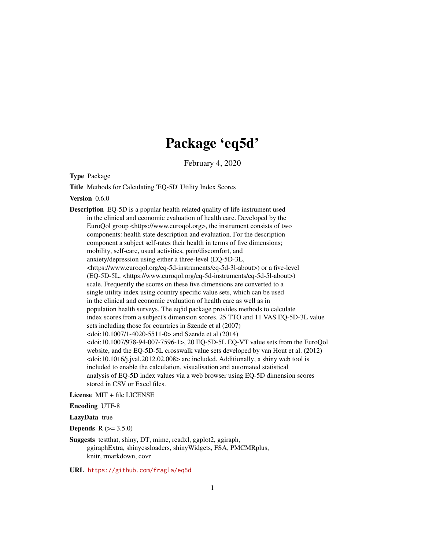## Package 'eq5d'

February 4, 2020

<span id="page-0-0"></span>Type Package

Title Methods for Calculating 'EQ-5D' Utility Index Scores

Version 0.6.0

Description EQ-5D is a popular health related quality of life instrument used in the clinical and economic evaluation of health care. Developed by the EuroQol group <https://www.euroqol.org>, the instrument consists of two components: health state description and evaluation. For the description component a subject self-rates their health in terms of five dimensions; mobility, self-care, usual activities, pain/discomfort, and anxiety/depression using either a three-level (EQ-5D-3L, <https://www.euroqol.org/eq-5d-instruments/eq-5d-3l-about>) or a five-level (EQ-5D-5L, <https://www.euroqol.org/eq-5d-instruments/eq-5d-5l-about>) scale. Frequently the scores on these five dimensions are converted to a single utility index using country specific value sets, which can be used in the clinical and economic evaluation of health care as well as in population health surveys. The eq5d package provides methods to calculate index scores from a subject's dimension scores. 25 TTO and 11 VAS EQ-5D-3L value sets including those for countries in Szende et al (2007) <doi:10.1007/1-4020-5511-0> and Szende et al (2014)  $<$ doi:10.1007/978-94-007-7596-1>, 20 EQ-5D-5L EQ-VT value sets from the EuroQol website, and the EQ-5D-5L crosswalk value sets developed by van Hout et al. (2012)  $\langle \text{doi:10.1016/j.jval}.2012.02.008 \rangle$  are included. Additionally, a shiny web tool is included to enable the calculation, visualisation and automated statistical analysis of EQ-5D index values via a web browser using EQ-5D dimension scores stored in CSV or Excel files.

License MIT + file LICENSE

Encoding UTF-8

#### LazyData true

**Depends**  $R (= 3.5.0)$ 

Suggests testthat, shiny, DT, mime, readxl, ggplot2, ggiraph, ggiraphExtra, shinycssloaders, shinyWidgets, FSA, PMCMRplus, knitr, rmarkdown, covr

URL <https://github.com/fragla/eq5d>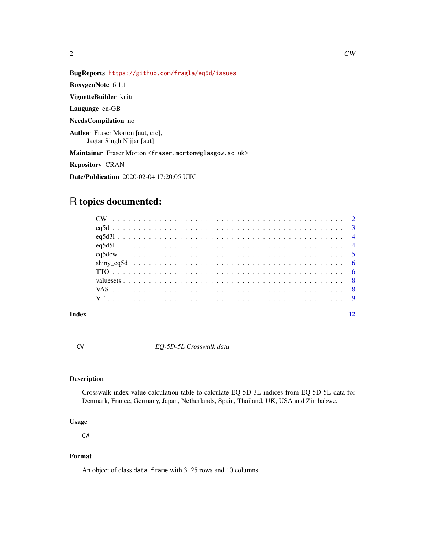<span id="page-1-0"></span>

RoxygenNote 6.1.1

VignetteBuilder knitr

Language en-GB

NeedsCompilation no

Author Fraser Morton [aut, cre], Jagtar Singh Nijjar [aut]

Maintainer Fraser Morton <fraser.morton@glasgow.ac.uk>

Repository CRAN

Date/Publication 2020-02-04 17:20:05 UTC

### R topics documented:

#### **Index** [12](#page-11-0)

CW *EQ-5D-5L Crosswalk data*

#### Description

Crosswalk index value calculation table to calculate EQ-5D-3L indices from EQ-5D-5L data for Denmark, France, Germany, Japan, Netherlands, Spain, Thailand, UK, USA and Zimbabwe.

#### Usage

CW

#### Format

An object of class data. frame with 3125 rows and 10 columns.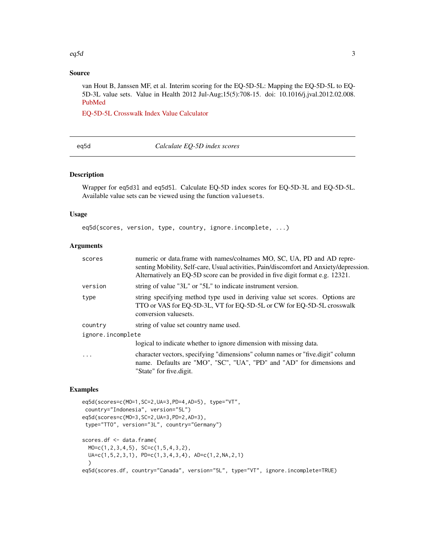#### <span id="page-2-0"></span>eq5d  $\sim$  3

#### Source

van Hout B, Janssen MF, et al. Interim scoring for the EQ-5D-5L: Mapping the EQ-5D-5L to EQ-5D-3L value sets. Value in Health 2012 Jul-Aug;15(5):708-15. doi: 10.1016/j.jval.2012.02.008. [PubMed](https://www.ncbi.nlm.nih.gov/pubmed/22867780)

[EQ-5D-5L Crosswalk Index Value Calculator](https://euroqol.org/wp-content/uploads/2018/02/EQ-5D-5L_Crosswalk_Index_Value_Calculator_v2.xls)

eq5d *Calculate EQ-5D index scores*

#### Description

Wrapper for eq5d3l and eq5d5l. Calculate EQ-5D index scores for EQ-5D-3L and EQ-5D-5L. Available value sets can be viewed using the function valuesets.

#### Usage

eq5d(scores, version, type, country, ignore.incomplete, ...)

#### Arguments

| scores            | numeric or data.frame with names/colnames MO, SC, UA, PD and AD repre-<br>senting Mobility, Self-care, Usual activities, Pain/discomfort and Anxiety/depression.<br>Alternatively an EQ-5D score can be provided in five digit format e.g. 12321. |
|-------------------|---------------------------------------------------------------------------------------------------------------------------------------------------------------------------------------------------------------------------------------------------|
| version           | string of value "3L" or "5L" to indicate instrument version.                                                                                                                                                                                      |
| type              | string specifying method type used in deriving value set scores. Options are<br>TTO or VAS for EQ-5D-3L, VT for EQ-5D-5L or CW for EQ-5D-5L crosswalk<br>conversion valuesets.                                                                    |
| country           | string of value set country name used.                                                                                                                                                                                                            |
| ignore.incomplete |                                                                                                                                                                                                                                                   |
|                   | logical to indicate whether to ignore dimension with missing data.                                                                                                                                                                                |
| .                 | character vectors, specifying "dimensions" column names or "five.digit" column<br>name. Defaults are "MO", "SC", "UA", "PD" and "AD" for dimensions and<br>"State" for five.digit.                                                                |

#### Examples

```
eq5d(scores=c(MO=1,SC=2,UA=3,PD=4,AD=5), type="VT",
country="Indonesia", version="5L")
eq5d(scores=c(MO=3,SC=2,UA=3,PD=2,AD=3),
type="TTO", version="3L", country="Germany")
scores.df <- data.frame(
 MO=c(1,2,3,4,5), SC=c(1,5,4,3,2),
 UA=c(1,5,2,3,1), PD=c(1,3,4,3,4), AD=c(1,2,NA,2,1)
 )
eq5d(scores.df, country="Canada", version="5L", type="VT", ignore.incomplete=TRUE)
```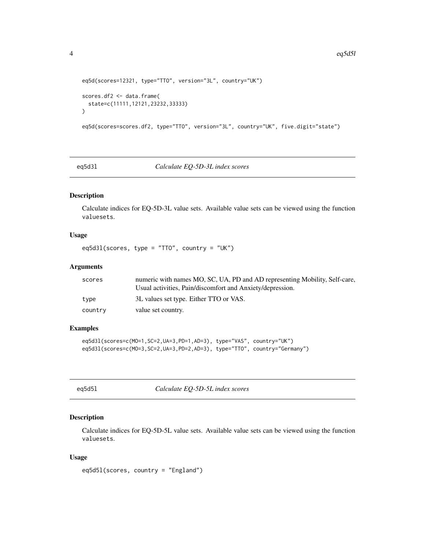```
eq5d(scores=12321, type="TTO", version="3L", country="UK")
scores.df2 <- data.frame(
 state=c(11111,12121,23232,33333)
)
eq5d(scores=scores.df2, type="TTO", version="3L", country="UK", five.digit="state")
```
eq5d3l *Calculate EQ-5D-3L index scores*

#### Description

Calculate indices for EQ-5D-3L value sets. Available value sets can be viewed using the function valuesets.

#### Usage

eq5d3l(scores, type = "TTO", country = "UK")

#### Arguments

| scores  | numeric with names MO, SC, UA, PD and AD representing Mobility, Self-care,<br>Usual activities, Pain/discomfort and Anxiety/depression. |
|---------|-----------------------------------------------------------------------------------------------------------------------------------------|
|         |                                                                                                                                         |
| type    | 3L values set type. Either TTO or VAS.                                                                                                  |
| country | value set country.                                                                                                                      |

#### Examples

```
eq5d3l(scores=c(MO=1,SC=2,UA=3,PD=1,AD=3), type="VAS", country="UK")
eq5d3l(scores=c(MO=3,SC=2,UA=3,PD=2,AD=3), type="TTO", country="Germany")
```
eq5d5l *Calculate EQ-5D-5L index scores*

#### Description

Calculate indices for EQ-5D-5L value sets. Available value sets can be viewed using the function valuesets.

#### Usage

eq5d5l(scores, country = "England")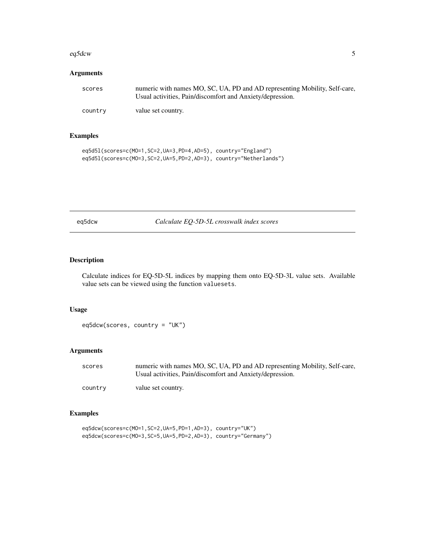#### <span id="page-4-0"></span>eq5dcw 5

#### Arguments

| scores  | numeric with names MO, SC, UA, PD and AD representing Mobility, Self-care,<br>Usual activities, Pain/discomfort and Anxiety/depression. |
|---------|-----------------------------------------------------------------------------------------------------------------------------------------|
| country | value set country.                                                                                                                      |

#### Examples

```
eq5d5l(scores=c(MO=1,SC=2,UA=3,PD=4,AD=5), country="England")
eq5d5l(scores=c(MO=3,SC=2,UA=5,PD=2,AD=3), country="Netherlands")
```

| easac<br>v |
|------------|
|------------|

eqtate *Calculate EQ-5D-5L crosswalk index scores* 

#### Description

Calculate indices for EQ-5D-5L indices by mapping them onto EQ-5D-3L value sets. Available value sets can be viewed using the function valuesets.

#### Usage

eq5dcw(scores, country = "UK")

#### Arguments

| scores  | numeric with names MO, SC, UA, PD and AD representing Mobility, Self-care, |
|---------|----------------------------------------------------------------------------|
|         | Usual activities, Pain/discomfort and Anxiety/depression.                  |
| country | value set country.                                                         |

#### Examples

```
eq5dcw(scores=c(MO=1,SC=2,UA=5,PD=1,AD=3), country="UK")
eq5dcw(scores=c(MO=3,SC=5,UA=5,PD=2,AD=3), country="Germany")
```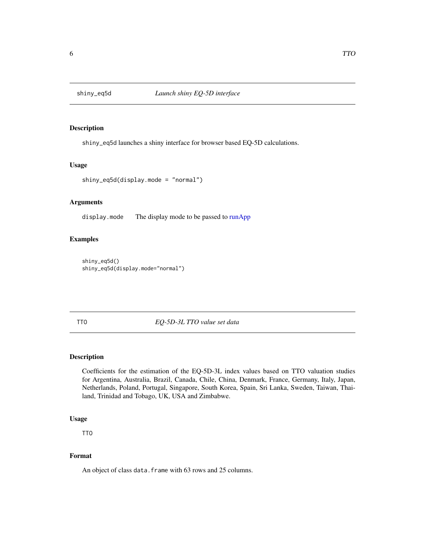<span id="page-5-0"></span>

#### Description

shiny\_eq5d launches a shiny interface for browser based EQ-5D calculations.

#### Usage

```
shiny_eq5d(display.mode = "normal")
```
#### Arguments

display.mode The display mode to be passed to [runApp](#page-0-0)

#### Examples

```
shiny_eq5d()
shiny_eq5d(display.mode="normal")
```
TTO *EQ-5D-3L TTO value set data*

#### Description

Coefficients for the estimation of the EQ-5D-3L index values based on TTO valuation studies for Argentina, Australia, Brazil, Canada, Chile, China, Denmark, France, Germany, Italy, Japan, Netherlands, Poland, Portugal, Singapore, South Korea, Spain, Sri Lanka, Sweden, Taiwan, Thailand, Trinidad and Tobago, UK, USA and Zimbabwe.

#### Usage

TTO

#### Format

An object of class data. frame with 63 rows and 25 columns.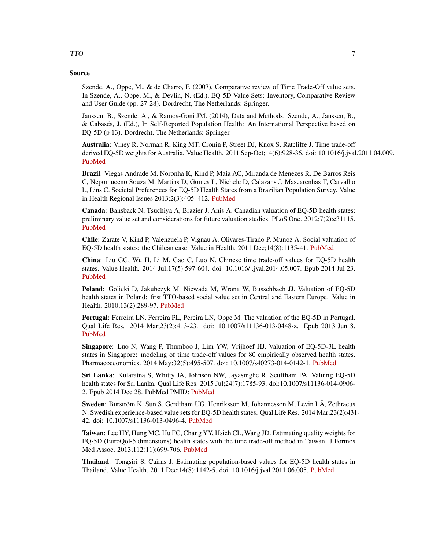#### Source

Szende, A., Oppe, M., & de Charro, F. (2007), Comparative review of Time Trade-Off value sets. In Szende, A., Oppe, M., & Devlin, N. (Ed.), EQ-5D Value Sets: Inventory, Comparative Review and User Guide (pp. 27-28). Dordrecht, The Netherlands: Springer.

Janssen, B., Szende, A., & Ramos-Goñi JM. (2014), Data and Methods. Szende, A., Janssen, B., & Cabasés, J. (Ed.), In Self-Reported Population Health: An International Perspective based on EQ-5D (p 13). Dordrecht, The Netherlands: Springer.

Australia: Viney R, Norman R, King MT, Cronin P, Street DJ, Knox S, Ratcliffe J. Time trade-off derived EQ-5D weights for Australia. Value Health. 2011 Sep-Oct;14(6):928-36. doi: 10.1016/j.jval.2011.04.009. [PubMed](https://www.ncbi.nlm.nih.gov/pubmed/21914515)

Brazil: Viegas Andrade M, Noronha K, Kind P, Maia AC, Miranda de Menezes R, De Barros Reis C, Nepomuceno Souza M, Martins D, Gomes L, Nichele D, Calazans J, Mascarenhas T, Carvalho L, Lins C. Societal Preferences for EQ-5D Health States from a Brazilian Population Survey. Value in Health Regional Issues 2013;2(3):405–412. [PubMed](https://www.ncbi.nlm.nih.gov/pubmed/29702778)

Canada: Bansback N, Tsuchiya A, Brazier J, Anis A. Canadian valuation of EQ-5D health states: preliminary value set and considerations for future valuation studies. PLoS One. 2012;7(2):e31115. [PubMed](https://www.ncbi.nlm.nih.gov/pubmed/22328929)

Chile: Zarate V, Kind P, Valenzuela P, Vignau A, Olivares-Tirado P, Munoz A. Social valuation of EQ-5D health states: the Chilean case. Value in Health. 2011 Dec;14(8):1135-41. [PubMed](https://www.ncbi.nlm.nih.gov/pubmed/22152184)

China: Liu GG, Wu H, Li M, Gao C, Luo N. Chinese time trade-off values for EQ-5D health states. Value Health. 2014 Jul;17(5):597-604. doi: 10.1016/j.jval.2014.05.007. Epub 2014 Jul 23. [PubMed](https://www.ncbi.nlm.nih.gov/pubmed/25128053)

Poland: Golicki D, Jakubczyk M, Niewada M, Wrona W, Busschbach JJ. Valuation of EQ-5D health states in Poland: first TTO-based social value set in Central and Eastern Europe. Value in Health. 2010;13(2):289-97. [PubMed](https://www.ncbi.nlm.nih.gov/pubmed/19744296)

Portugal: Ferreira LN, Ferreira PL, Pereira LN, Oppe M. The valuation of the EQ-5D in Portugal. Qual Life Res. 2014 Mar;23(2):413-23. doi: 10.1007/s11136-013-0448-z. Epub 2013 Jun 8. [PubMed](https://www.ncbi.nlm.nih.gov/pubmed/23748906)

Singapore: Luo N, Wang P, Thumboo J, Lim YW, Vrijhoef HJ. Valuation of EQ-5D-3L health states in Singapore: modeling of time trade-off values for 80 empirically observed health states. Pharmacoeconomics. 2014 May;32(5):495-507. doi: 10.1007/s40273-014-0142-1. [PubMed](https://www.ncbi.nlm.nih.gov/pubmed/24519603)

Sri Lanka: Kularatna S, Whitty JA, Johnson NW, Jayasinghe R, Scuffham PA. Valuing EQ-5D health states for Sri Lanka. Qual Life Res. 2015 Jul;24(7):1785-93. doi:10.1007/s11136-014-0906- 2. Epub 2014 Dec 28. PubMed PMID: [PubMed](https://www.ncbi.nlm.nih.gov/pubmed/25543271)

Sweden: Burström K, Sun S, Gerdtham UG, Henriksson M, Johannesson M, Levin LÅ, Zethraeus N. Swedish experience-based value sets for EQ-5D health states. Qual Life Res. 2014 Mar;23(2):431- 42. doi: 10.1007/s11136-013-0496-4. [PubMed](https://www.ncbi.nlm.nih.gov/pubmed/23975375)

Taiwan: Lee HY, Hung MC, Hu FC, Chang YY, Hsieh CL, Wang JD. Estimating quality weights for EQ-5D (EuroQol-5 dimensions) health states with the time trade-off method in Taiwan. J Formos Med Assoc. 2013;112(11):699-706. [PubMed](https://www.ncbi.nlm.nih.gov/pubmed/24183199)

Thailand: Tongsiri S, Cairns J. Estimating population-based values for EQ-5D health states in Thailand. Value Health. 2011 Dec;14(8):1142-5. doi: 10.1016/j.jval.2011.06.005. [PubMed](https://www.ncbi.nlm.nih.gov/pubmed/22152185)

#### TTO TTO 2008 2012 12:00:00 PM 2012 12:00:00 PM 2012 12:00:00 PM 2012 12:00:00 PM 2012 12:00:00 PM 2012 12:00:00 PM 2012 12:00:00 PM 2012 12:00:00 PM 2012 12:00:00 PM 2012 12:00:00 PM 2012 12:00:00 PM 2012 12:00:00 PM 2012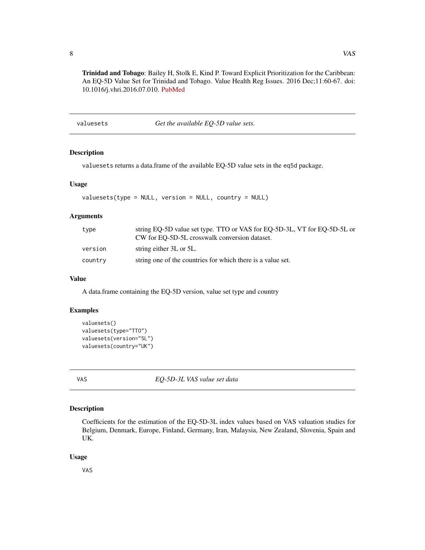<span id="page-7-0"></span>Trinidad and Tobago: Bailey H, Stolk E, Kind P. Toward Explicit Prioritization for the Caribbean: An EQ-5D Value Set for Trinidad and Tobago. Value Health Reg Issues. 2016 Dec;11:60-67. doi: 10.1016/j.vhri.2016.07.010. [PubMed](https://www.ncbi.nlm.nih.gov/pubmed/27986200)

valuesets *Get the available EQ-5D value sets.*

#### Description

valuesets returns a data.frame of the available EQ-5D value sets in the eq5d package.

#### Usage

valuesets(type = NULL, version = NULL, country = NULL)

#### **Arguments**

| type    | string EQ-5D value set type. TTO or VAS for EQ-5D-3L, VT for EQ-5D-5L or<br>CW for EO-5D-5L crosswalk conversion dataset. |
|---------|---------------------------------------------------------------------------------------------------------------------------|
| version | string either 3L or 5L.                                                                                                   |
| country | string one of the countries for which there is a value set.                                                               |

#### Value

A data.frame containing the EQ-5D version, value set type and country

#### Examples

```
valuesets()
valuesets(type="TTO")
valuesets(version="5L")
valuesets(country="UK")
```
VAS *EQ-5D-3L VAS value set data*

#### Description

Coefficients for the estimation of the EQ-5D-3L index values based on VAS valuation studies for Belgium, Denmark, Europe, Finland, Germany, Iran, Malaysia, New Zealand, Slovenia, Spain and UK.

#### Usage

VAS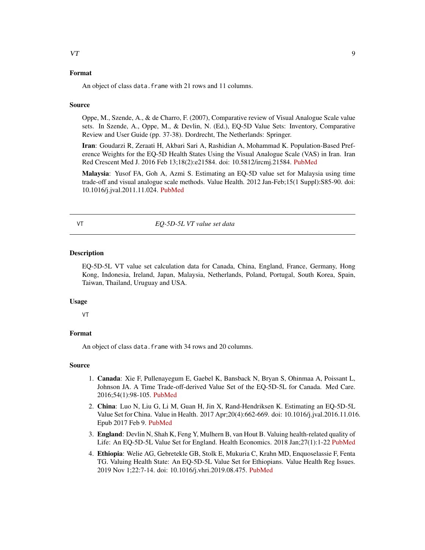#### <span id="page-8-0"></span>Format

An object of class data.frame with 21 rows and 11 columns.

#### Source

Oppe, M., Szende, A., & de Charro, F. (2007), Comparative review of Visual Analogue Scale value sets. In Szende, A., Oppe, M., & Devlin, N. (Ed.), EQ-5D Value Sets: Inventory, Comparative Review and User Guide (pp. 37-38). Dordrecht, The Netherlands: Springer.

Iran: Goudarzi R, Zeraati H, Akbari Sari A, Rashidian A, Mohammad K. Population-Based Preference Weights for the EQ-5D Health States Using the Visual Analogue Scale (VAS) in Iran. Iran Red Crescent Med J. 2016 Feb 13;18(2):e21584. doi: 10.5812/ircmj.21584. [PubMed](https://www.ncbi.nlm.nih.gov/pubmed/27186384)

Malaysia: Yusof FA, Goh A, Azmi S. Estimating an EQ-5D value set for Malaysia using time trade-off and visual analogue scale methods. Value Health. 2012 Jan-Feb;15(1 Suppl):S85-90. doi: 10.1016/j.jval.2011.11.024. [PubMed](https://www.ncbi.nlm.nih.gov/pubmed/22265073)

VT *EQ-5D-5L VT value set data*

#### **Description**

EQ-5D-5L VT value set calculation data for Canada, China, England, France, Germany, Hong Kong, Indonesia, Ireland, Japan, Malaysia, Netherlands, Poland, Portugal, South Korea, Spain, Taiwan, Thailand, Uruguay and USA.

#### Usage

VT

#### Format

An object of class data. frame with 34 rows and 20 columns.

#### Source

- 1. Canada: Xie F, Pullenayegum E, Gaebel K, Bansback N, Bryan S, Ohinmaa A, Poissant L, Johnson JA. A Time Trade-off-derived Value Set of the EQ-5D-5L for Canada. Med Care. 2016;54(1):98-105. [PubMed](https://www.ncbi.nlm.nih.gov/pubmed/26492214)
- 2. China: Luo N, Liu G, Li M, Guan H, Jin X, Rand-Hendriksen K. Estimating an EQ-5D-5L Value Set for China. Value in Health. 2017 Apr;20(4):662-669. doi: 10.1016/j.jval.2016.11.016. Epub 2017 Feb 9. [PubMed](https://www.ncbi.nlm.nih.gov/pubmed/28408009)
- 3. England: Devlin N, Shah K, Feng Y, Mulhern B, van Hout B. Valuing health-related quality of Life: An EQ-5D-5L Value Set for England. Health Economics. 2018 Jan;27(1):1-22 [PubMed](https://www.ncbi.nlm.nih.gov/pubmed/28833869)
- 4. Ethiopia: Welie AG, Gebretekle GB, Stolk E, Mukuria C, Krahn MD, Enquoselassie F, Fenta TG. Valuing Health State: An EQ-5D-5L Value Set for Ethiopians. Value Health Reg Issues. 2019 Nov 1;22:7-14. doi: 10.1016/j.vhri.2019.08.475. [PubMed](https://www.ncbi.nlm.nih.gov/pubmed/31683254)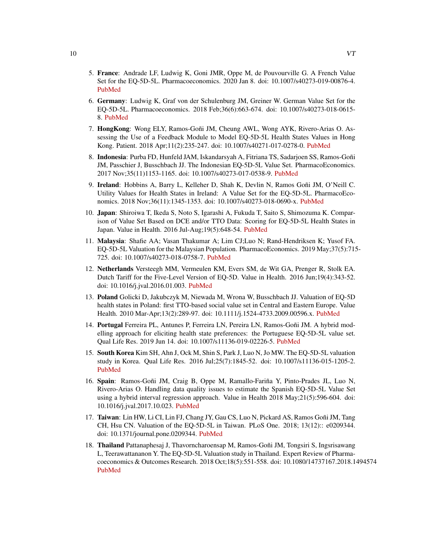- 5. France: Andrade LF, Ludwig K, Goni JMR, Oppe M, de Pouvourville G. A French Value Set for the EQ-5D-5L. Pharmacoeconomics. 2020 Jan 8. doi: 10.1007/s40273-019-00876-4. [PubMed](https://www.ncbi.nlm.nih.gov/pubmed/31912325)
- 6. Germany: Ludwig K, Graf von der Schulenburg JM, Greiner W. German Value Set for the EQ-5D-5L. Pharmacoeconomics. 2018 Feb;36(6):663-674. doi: 10.1007/s40273-018-0615- 8. [PubMed](https://www.ncbi.nlm.nih.gov/pubmed/29460066)
- 7. HongKong: Wong ELY, Ramos-Goñi JM, Cheung AWL, Wong AYK, Rivero-Arias O. Assessing the Use of a Feedback Module to Model EQ-5D-5L Health States Values in Hong Kong. Patient. 2018 Apr;11(2):235-247. doi: 10.1007/s40271-017-0278-0. [PubMed](https://www.ncbi.nlm.nih.gov/pubmed/29019161)
- 8. Indonesia: Purba FD, Hunfeld JAM, Iskandarsyah A, Fitriana TS, Sadarjoen SS, Ramos-Goñi JM, Passchier J, Busschbach JJ. The Indonesian EQ-5D-5L Value Set. PharmacoEconomics. 2017 Nov;35(11)1153-1165. doi: 10.1007/s40273-017-0538-9. [PubMed](https://www.ncbi.nlm.nih.gov/pubmed/28695543)
- 9. Ireland: Hobbins A, Barry L, Kelleher D, Shah K, Devlin N, Ramos Goñi JM, O'Neill C. Utility Values for Health States in Ireland: A Value Set for the EQ-5D-5L. PharmacoEconomics. 2018 Nov;36(11):1345-1353. doi: 10.1007/s40273-018-0690-x. [PubMed](https://www.ncbi.nlm.nih.gov/pubmed/30051267)
- 10. Japan: Shiroiwa T, Ikeda S, Noto S, Igarashi A, Fukuda T, Saito S, Shimozuma K. Comparison of Value Set Based on DCE and/or TTO Data: Scoring for EQ-5D-5L Health States in Japan. Value in Health. 2016 Jul-Aug;19(5):648-54. [PubMed](https://www.ncbi.nlm.nih.gov/pubmed/27565282)
- 11. Malaysia: Shafie AA; Vasan Thakumar A; Lim CJ;Luo N; Rand-Hendriksen K; Yusof FA. EQ-5D-5L Valuation for the Malaysian Population. PharmacoEconomics. 2019 May;37(5):715- 725. doi: 10.1007/s40273-018-0758-7. [PubMed](https://www.ncbi.nlm.nih.gov/pubmed/30535779)
- 12. Netherlands Versteegh MM, Vermeulen KM, Evers SM, de Wit GA, Prenger R, Stolk EA. Dutch Tariff for the Five-Level Version of EQ-5D. Value in Health. 2016 Jun;19(4):343-52. doi: 10.1016/j.jval.2016.01.003. [PubMed](https://www.ncbi.nlm.nih.gov/pubmed/27325326)
- 13. Poland Golicki D, Jakubczyk M, Niewada M, Wrona W, Busschbach JJ. Valuation of EQ-5D health states in Poland: first TTO-based social value set in Central and Eastern Europe. Value Health. 2010 Mar-Apr;13(2):289-97. doi: 10.1111/j.1524-4733.2009.00596.x. [PubMed](https://www.ncbi.nlm.nih.gov/pubmed/19744296)
- 14. Portugal Ferreira PL, Antunes P, Ferreira LN, Pereira LN, Ramos-Goñi JM. A hybrid modelling approach for eliciting health state preferences: the Portuguese EQ-5D-5L value set. Qual Life Res. 2019 Jun 14. doi: 10.1007/s11136-019-02226-5. [PubMed](https://www.ncbi.nlm.nih.gov/pubmed/31201730)
- 15. South Korea Kim SH, Ahn J, Ock M, Shin S, Park J, Luo N, Jo MW. The EQ-5D-5L valuation study in Korea. Qual Life Res. 2016 Jul;25(7):1845-52. doi: 10.1007/s11136-015-1205-2. [PubMed](https://www.ncbi.nlm.nih.gov/pubmed/26961008)
- 16. Spain: Ramos-Goñi JM, Craig B, Oppe M, Ramallo-Fariña Y, Pinto-Prades JL, Luo N, Rivero-Arias O. Handling data quality issues to estimate the Spanish EQ-5D-5L Value Set using a hybrid interval regression approach. Value in Health 2018 May;21(5):596-604. doi: 10.1016/j.jval.2017.10.023. [PubMed](https://www.ncbi.nlm.nih.gov/pubmed/29753358)
- 17. Taiwan: Lin HW, Li CI, Lin FJ, Chang JY, Gau CS, Luo N, Pickard AS, Ramos Goñi JM, Tang CH, Hsu CN. Valuation of the EQ-5D-5L in Taiwan. PLoS One. 2018; 13(12):: e0209344. doi: 10.1371/journal.pone.0209344. [PubMed](https://www.ncbi.nlm.nih.gov/pmc/articles/PMC6306233)
- 18. Thailand Pattanaphesaj J, Thavorncharoensap M, Ramos-Goñi JM, Tongsiri S, Ingsrisawang L, Teerawattananon Y. The EQ-5D-5L Valuation study in Thailand. Expert Review of Pharmacoeconomics & Outcomes Research. 2018 Oct;18(5):551-558. doi: 10.1080/14737167.2018.1494574 [PubMed](https://www.ncbi.nlm.nih.gov/pubmed/29958008)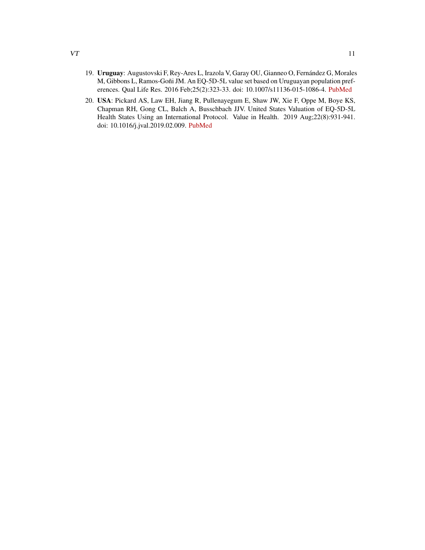- 19. Uruguay: Augustovski F, Rey-Ares L, Irazola V, Garay OU, Gianneo O, Fernández G, Morales M, Gibbons L, Ramos-Goñi JM. An EQ-5D-5L value set based on Uruguayan population preferences. Qual Life Res. 2016 Feb;25(2):323-33. doi: 10.1007/s11136-015-1086-4. [PubMed](https://www.ncbi.nlm.nih.gov/pubmed/26242249)
- 20. USA: Pickard AS, Law EH, Jiang R, Pullenayegum E, Shaw JW, Xie F, Oppe M, Boye KS, Chapman RH, Gong CL, Balch A, Busschbach JJV. United States Valuation of EQ-5D-5L Health States Using an International Protocol. Value in Health. 2019 Aug;22(8):931-941. doi: 10.1016/j.jval.2019.02.009. [PubMed](https://www.ncbi.nlm.nih.gov/pubmed/31426935)